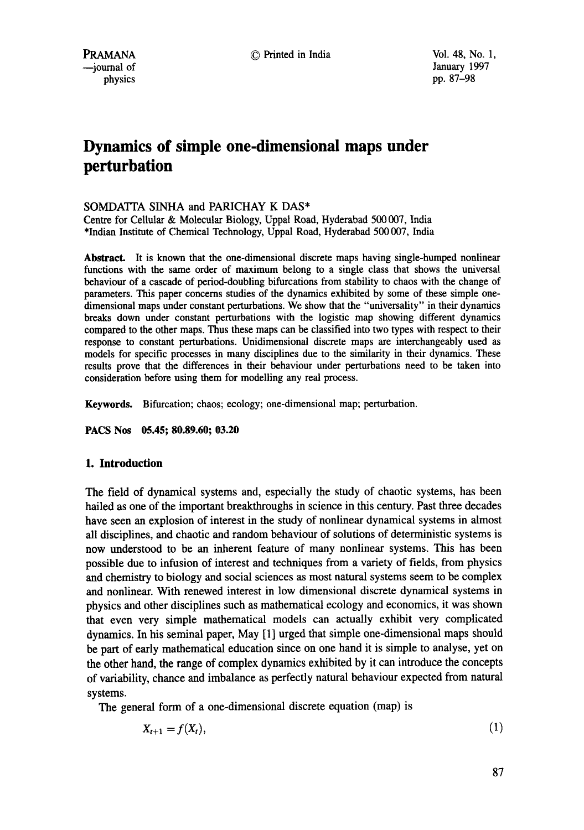# **Dynamics of simple one-dimensional maps under perturbation**

# SOMDATTA SINHA and PARICHAY K DAS\*

Centre for Cellular & Molecular Biology, Uppat Road, Hyderabad 500 007, India \*Indian Institute of Chemical Technology, Uppal Road, Hyderabad 500 007, India

**Abstract.** It is known that the one-dimensional discrete maps having single-humped nonlinear functions with the same order of maximum belong to a single class that shows the universal behaviour of a cascade of period-doubling bifurcations from stability to chaos with the change of parameters. This paper concerns studies of the dynamics exhibited by some of these simple onedimensional maps under constant perturbations. We show that the "universality" in their dynamics breaks down under constant perturbations with the logistic map showing different dynamics compared to the other maps. Thus these maps can be classified into two types with respect to their response to constant perturbations. Unidimensional discrete maps are interchangeably used as models for specific processes in many disciplines due to the similarity in their dynamics. These results prove that the differences in their behaviour under perturbations need to be taken into consideration before using them for modelling any real process.

Keywords. Bifurcation; chaos; ecology; one-dimensional map; perturbation.

**PACS Nos 05.45; 80.89.60; 03.20** 

# **1. Introduction**

The field of dynamical systems and, especially the study of chaotic systems, has been hailed as one of the important breakthroughs in science in this century. Past three decades have seen an explosion of interest in the study of nonlinear dynamical systems in almost all disciplines, and chaotic and random behaviour of solutions of deterministic systems is now understood to be an inherent feature of many nonlinear systems. This has been possible due to infusion of interest and techniques from a variety of fields, from physics and chemistry to biology and social sciences as most natural systems seem to be complex and nonlinear. With renewed interest in low dimensional discrete dynamical systems in physics and other disciplines such as mathematical ecology and economics, it was shown that even very simple mathematical models can actually exhibit very complicated dynamics. In his seminal paper, May [1] urged that simple one-dimensional maps should be part of early mathematical education since on one hand it is simple to analyse, yet on the other hand, the range of complex dynamics exhibited by it can introduce the concepts of variability, chance and imbalance as perfectly natural behaviour expected from natural systems.

The general form of a one-dimensional discrete equation (map) is

$$
X_{t+1} = f(X_t), \tag{1}
$$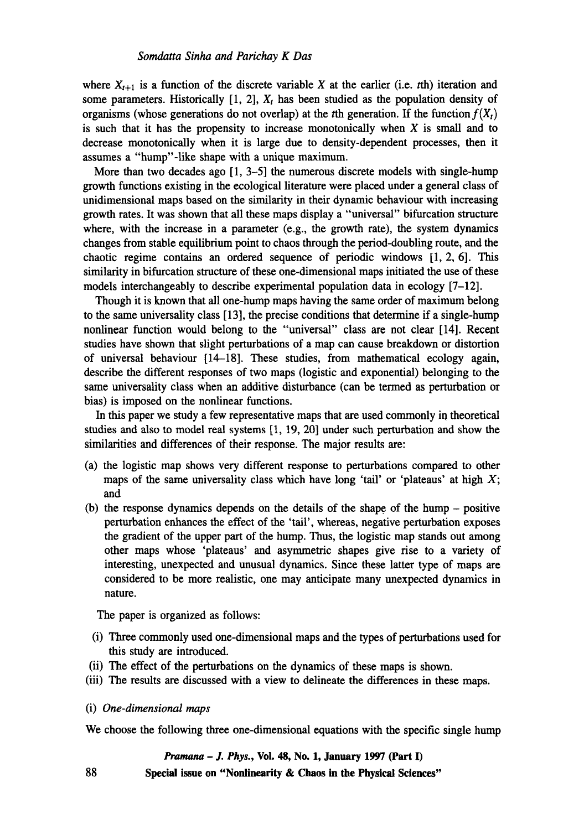where  $X_{t+1}$  is a function of the discrete variable X at the earlier (i.e. *t*th) iteration and some parameters. Historically  $[1, 2]$ ,  $X_t$  has been studied as the population density of organisms (whose generations do not overlap) at the *t*th generation. If the function  $f(X_t)$ is such that it has the propensity to increase monotonically when  $X$  is small and to decrease monotonically when it is large due to density-dependent processes, then **it**  assumes a "hump"-like shape with a unique maximum.

More than two decades ago [1, 3–5] the numerous discrete models with single-hump growth functions existing in the ecological literature were placed under a general class of unidimensional maps based on the similarity in their dynamic behaviour with increasing growth rates. It was shown that all these maps display a "universal" bifurcation structure where, with the increase in a parameter (e.g., the growth rate), the system dynamics changes from stable equilibrium point to chaos through the period-doubling route, and the chaotic regime contains an ordered sequence of periodic windows [1, 2, 6]. This similarity in bifurcation structure of these one-dimensional maps initiated the use of these models interchangeably to describe experimental population data in ecology [7-12].

Though it is known that all one-hump maps having the same order of maximum belong to the same universality class [13], the precise conditions that determine if a single-hump nonlinear function would belong to the "universal" class are not clear [14]. Recent studies have shown that slight perturbations of a map can cause breakdown or distortion of universal behaviour [14-18]. These studies, from mathematical ecology again, describe the different responses of two maps (logistic and exponential) belonging to the same universality class when an additive disturbance (can be termed as perturbation or bias) is imposed on the nonlinear functions.

In this paper we study a few representative maps that are used commonly in theoretical studies and also to model real systems [1, 19, 20] under such perturbation and show the similarities and differences of their response. The major results are:

- (a) the logistic map shows very different response to perturbations compared to other maps of the same universality class which have long 'tail' or 'plateaus' at high  $X$ ; and
- $(b)$  the response dynamics depends on the details of the shape of the hump positive perturbation enhances the effect of the 'tail', whereas, negative perturbation exposes the gradient of the upper part of the hump. Thus, the logistic map stands out among other maps whose 'plateaus' and asymmetric shapes give rise to a variety of interesting, unexpected and unusual dynamics. Since these latter type of maps are considered to be more realistic, one may anticipate many unexpected dynamics in nature.

The paper is organized as follows:

- (i) Three commonly used one-dimensional maps and the types of perturbations used for this study are introduced.
- (ii) The effect of the perturbations on the dynamics of these maps is shown.
- (iii) The results are discussed with a view to delineate the differences in these maps.
- (i) *One-dimensional maps*

88

We choose the following three one-dimensional equations with the specific single hump

#### *Pramana - J. Phys.,* **Vol. 48, No. 1, January 1997 (Part I)**

**Special issue on "Nonlinearity & Chaos in the Physical Sciences"**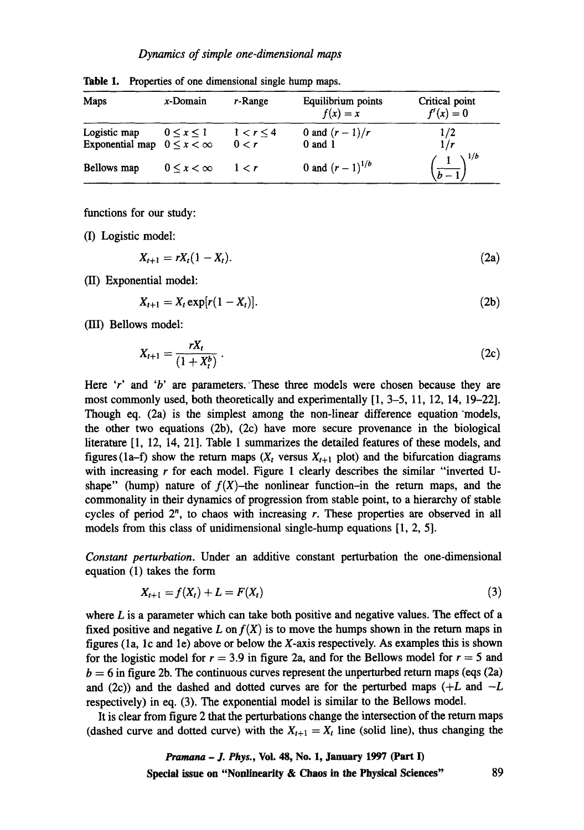| Maps                                               | $x$ -Domain            | r-Range                 | Equilibrium points<br>$f(x) = x$ | Critical point<br>$f'(x) = 0$ |
|----------------------------------------------------|------------------------|-------------------------|----------------------------------|-------------------------------|
| Logistic map<br>Exponential map $0 \le x < \infty$ | $0 \leq x \leq 1$      | $1 < r \leq 4$<br>0 < r | 0 and $(r - 1)/r$<br>$0$ and $1$ | 1/2<br>1/r                    |
| Bellows map                                        | $0 \leq x \leq \infty$ | 1 < r                   | 0 and $(r-1)^{1/b}$              | $\left(\frac{1}{b-1}\right)$  |

Table 1. Properties of one dimensional single hump maps.

functions for our study:

(I) Logistic model:

$$
X_{t+1} = rX_t(1 - X_t). \tag{2a}
$$

(II) Exponential model:

 $X_{t+1} = X_t \exp[r(1 - X_t)].$  (2b)

(BI) Bellows model:

$$
X_{t+1} = \frac{rX_t}{(1+X_t^b)}\,. \tag{2c}
$$

Here 'r' and 'b' are parameters. These three models were chosen because they are most commonly used, both theoretically and experimentally [1, 3-5, 11, 12, 14, 19-22]. Though eq. (2a) is the simplest among the non-linear difference equation models, the other two equations (2b), (2c) have more secure provenance in the biological literature [1, 12, 14, 21]. Table 1 summarizes the detailed features of these models, and figures (1a-f) show the return maps  $(X_t$  versus  $X_{t+1}$  plot) and the bifurcation diagrams with increasing  $r$  for each model. Figure 1 clearly describes the similar "inverted Ushape" (hump) nature of  $f(X)$ -the nonlinear function-in the return maps, and the commonality in their dynamics of progression from stable point, to a hierarchy of stable cycles of period  $2^n$ , to chaos with increasing r. These properties are observed in all models from this class of unidimensional single-hump equations [1, 2, 5].

*Constant perturbation.* Under an additive constant perturbation the one-dimensional equation (1) takes the form

$$
X_{t+1} = f(X_t) + L = F(X_t)
$$
\n(3)

where  $L$  is a parameter which can take both positive and negative values. The effect of a fixed positive and negative L on  $f(X)$  is to move the humps shown in the return maps in figures (la, lc and le) above or below the X-axis respectively. As examples this is shown for the logistic model for  $r = 3.9$  in figure 2a, and for the Bellows model for  $r = 5$  and  $b = 6$  in figure 2b. The continuous curves represent the unperturbed return maps (eqs (2a) and (2c)) and the dashed and dotted curves are for the perturbed maps  $(+L$  and  $-L$ respectively) in eq. (3). The exponential model is similar to the Bellows model.

It is clear from figure 2 that the perturbations change the intersection of the return maps (dashed curve and dotted curve) with the  $X_{t+1} = X_t$  line (solid line), thus changing the

> *Pramana - J. Phys.,* **Voi. 48, No. 1, January 1997 (Part I) Special issue on "Nonlinearity & Chaos in the Physical Sciences"** 89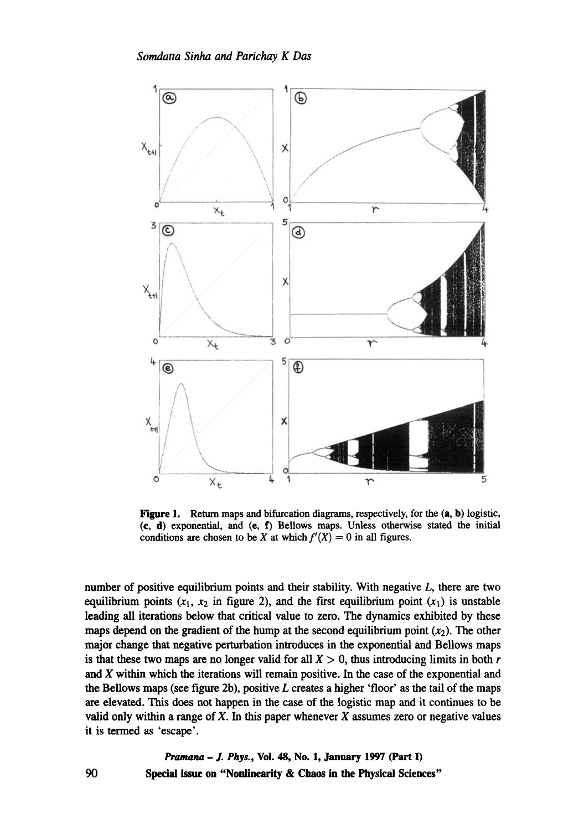

Figure 1. Return maps and bifurcation diagrams, respectively, for the  $(a, b)$  logistic, (c, d) exponential, and (e, f) Bellows maps. Unless otherwise stated the initial conditions are chosen to be X at which  $f'(X) = 0$  in all figures.

number of positive equilibrium points and their stability. With negative  $L$ , there are two equilibrium points  $(x_1, x_2)$  in figure 2), and the first equilibrium point  $(x_1)$  is unstable leading all iterations below that critical value to zero. The dynamics exhibited by these maps depend on the gradient of the hump at the second equilibrium point  $(x_2)$ . The other major change that negative perturbation introduces in the exponential and Bellows maps is that these two maps are no longer valid for all  $X > 0$ , thus introducing limits in both r and X within which the iterations will remain positive. In the case of the exponential and the Bellows maps (see figure 2b), positive  $L$  creates a higher 'floor' as the tail of the maps are elevated. This does not happen in the case of the logistic map and it continues to be valid only within a range of  $X$ . In this paper whenever  $X$  assumes zero or negative values it is termed as 'escape'.

> *Pramana - J. Phys.,* Voi. 48, No. 1, January 1997 (Part I) Special issue on "Nonlinearity **& Chaos in the Physical Sciences"**

90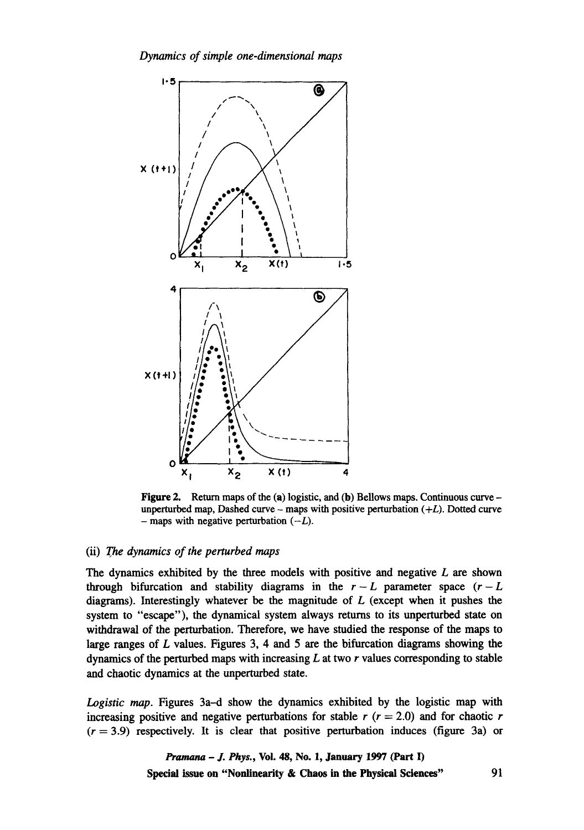*Dynamics of simple one-dimensional maps* 



Figure 2. Return maps of the (a) logistic, and (b) Bellows maps. Continuous curve unperturbed map, Dashed curve - maps with positive perturbation  $(+L)$ . Dotted curve - maps with negative perturbation  $(-L)$ .

## (ii) The *dynamics of the perturbed maps*

The dynamics exhibited by the three models with positive and negative  $L$  are shown through bifurcation and stability diagrams in the  $r-L$  parameter space  $(r-L)$ diagrams). Interestingly whatever be the magnitude of  $L$  (except when it pushes the system to "escape"), the dynamical system always returns to its unperturbed state on withdrawal of the perturbation. Therefore, we have studied the response of the maps to large ranges of L values. Figures 3, 4 and 5 are the bifurcation diagrams showing the dynamics of the perturbed maps with increasing  $L$  at two  $r$  values corresponding to stable and chaotic dynamics at the unperturbed state.

*Logistic map.* Figures 3a-d show the dynamics exhibited by the logistic map with increasing positive and negative perturbations for stable r  $(r = 2.0)$  and for chaotic r  $(r = 3.9)$  respectively. It is clear that positive perturbation induces (figure 3a) or

> *Pramana - J. Phys., Vol. 48, No. 1, January 1997 (Part I)* Special issue **on "Nonlinearity & Chaos in the Physical Sciences"** 91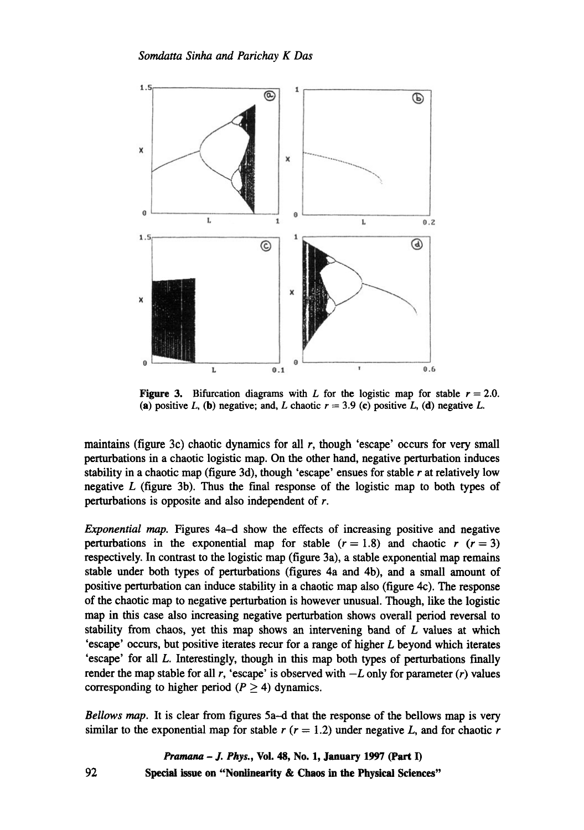

**Figure 3.** Bifurcation diagrams with L for the logistic map for stable  $r = 2.0$ . (a) positive L, (b) negative; and, L chaotic  $r = 3.9$  (c) positive L, (d) negative L.

maintains (figure 3c) chaotic dynamics for all  $r$ , though 'escape' occurs for very small perturbations in a chaotic logistic map. On the other hand, negative perturbation induces stability in a chaotic map (figure 3d), though 'escape' ensues for stable  $r$  at relatively low negative  $L$  (figure 3b). Thus the final response of the logistic map to both types of perturbations is opposite and also independent of r.

*Exponential map.* Figures 4a-d show the effects of increasing positive and negative perturbations in the exponential map for stable  $(r = 1.8)$  and chaotic  $r (r = 3)$ respectively. In contrast to the logistic map (figure 3a), a stable exponential map remains stable under both types of perturbations (figures 4a and 4b), and a small amount of positive perturbation can induce stability in a chaotic map also (figure 4c). The response of the chaotic map to negative perturbation is however unusual. Though, like the logistic map in this case also increasing negative perturbation shows overall period reversal to stability from chaos, yet this map shows an intervening band of  $L$  values at which 'escape' occurs, but positive iterates recur for a range of higher L beyond which iterates 'escape' for all L. Interestingly, though in this map both types of perturbations finally render the map stable for all r, 'escape' is observed with  $-L$  only for parameter  $(r)$  values corresponding to higher period ( $P \ge 4$ ) dynamics.

*Bellows map.* It is clear from figures 5a-d that the response of the bellows map is very similar to the exponential map for stable r  $(r = 1.2)$  under negative L, and for chaotic r

> *Pramana - J. Phys.,* **Voi. 48, No. 1, January 1997 (Part I) Spedal issue on "Nonlinearity & Chaos in the Physical Sciences"**

92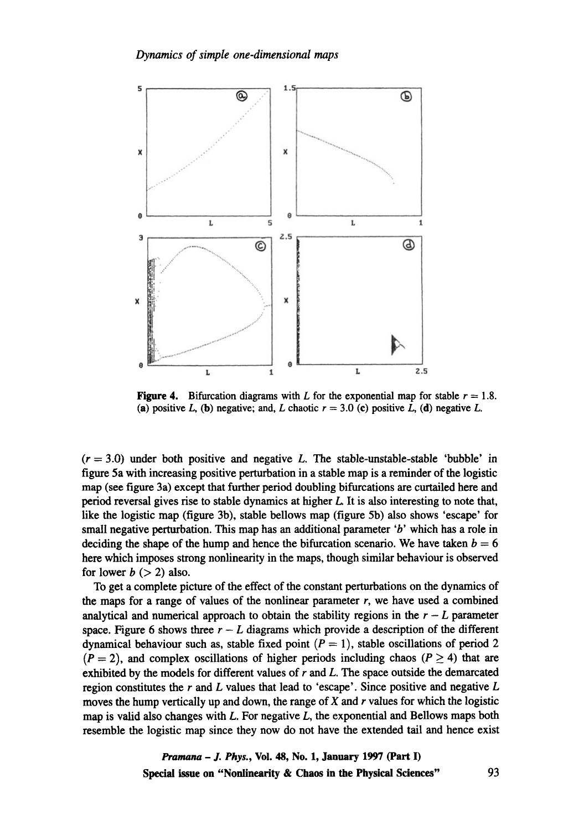

**Figure 4.** Bifurcation diagrams with L for the exponential map for stable  $r = 1.8$ . (a) positive L, (b) negative; and, L chaotic  $r = 3.0$  (c) positive L, (d) negative L.

 $(r = 3.0)$  under both positive and negative L. The stable-unstable-stable 'bubble' in **figure 5a with increasing positive perturbation in a stable map is a reminder of the logistic map (see figure 3a) except that further period doubling bifurcations are curtailed here and period reversal gives rise to stable dynamics at higher L It is also interesting to note that, like the logistic map (figure 3b), stable bellows map (figure 5b) also shows 'escape' for small negative perturbation. This map has an additional parameter 'b' which has a role in**  deciding the shape of the hump and hence the bifurcation scenario. We have taken  $b = 6$ **here which imposes strong nonlinearity in the maps, though similar behaviour is observed**  for lower  $b (> 2)$  also.

**To get a complete picture of the effect of the constant perturbations on the dynamics of**  the maps for a range of values of the nonlinear parameter  $r$ , we have used a combined analytical and numerical approach to obtain the stability regions in the  $r - L$  parameter space. Figure 6 shows three  $r - L$  diagrams which provide a description of the different **dynamical behaviour such as, stable fixed point**  $(P = 1)$ **, stable oscillations of period 2**  $(P = 2)$ , and complex oscillations of higher periods including chaos  $(P \ge 4)$  that are **exhibited by the models for different values of r and L. The space outside the demarcated region constitutes the r and L values that lead to 'escape'. Since positive and negative L moves the hump vertically up and down, the range of X and r values for which the logistic map is valid also changes with L. For negative L, the exponential and Bellows maps both resemble the logistic map since they now do not have the extended tail and hence exist** 

> *Pramana - J. Phys.,* **Vol. 48, No. 1, January 1997 (Part I) Special issue on "Nonlinearity & Chaos in the Physical Sciences"** 93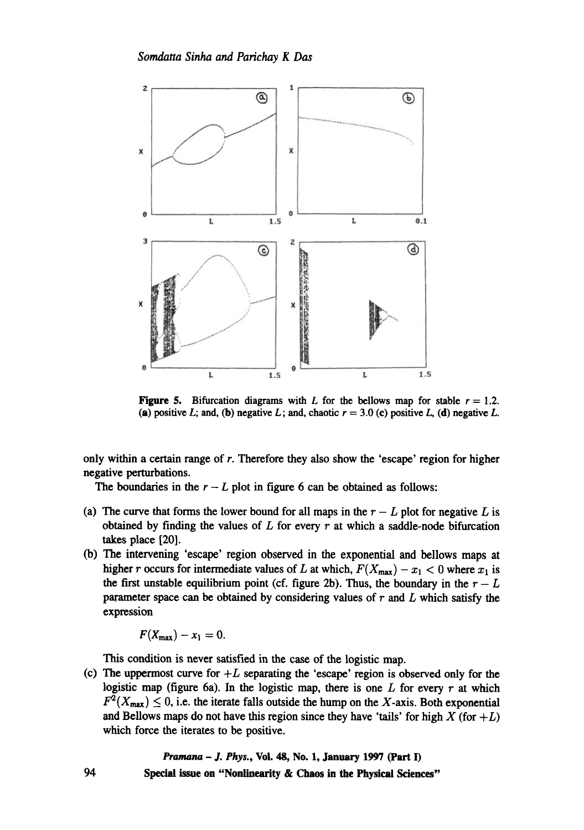

**Figure 5.** Bifurcation diagrams with L for the bellows map for stable  $r = 1.2$ . (a) positive L; and, (b) negative L; and, chaotic  $r = 3.0$  (c) positive L, (d) negative L.

only within a certain range of r. Therefore they also show the 'escape' region for higher negative perturbations.

The boundaries in the  $r - L$  plot in figure 6 can be obtained as follows:

- (a) The curve that forms the lower bound for all maps in the  $r L$  plot for negative L is obtained by finding the values of  $L$  for every  $r$  at which a saddle-node bifurcation takes place [20].
- (b) The intervening 'escape' region observed in the exponential and bellows maps at higher r occurs for intermediate values of L at which,  $F(X_{\text{max}}) - x_1 < 0$  where  $x_1$  is the first unstable equilibrium point (cf. figure 2b). Thus, the boundary in the  $r - L$ parameter space can be obtained by considering values of  $r$  and  $L$  which satisfy the expression

$$
F(X_{\max})-x_1=0.
$$

This condition is never satisfied in the case of the logistic map.

(c) The uppermost curve for  $+L$  separating the 'escape' region is observed only for the logistic map (figure 6a). In the logistic map, there is one  $L$  for every  $r$  at which  $F^2(X_{\text{max}}) \leq 0$ , i.e. the iterate falls outside the hump on the X-axis. Both exponential and Bellows maps do not have this region since they have 'tails' for high  $X$  (for  $+L$ ) which force the iterates to be positive.

> *Pramana - J. Phys.,* **Vol. 48, No. 1, January 1997 (Part I) Special issue on "Nonlinearity & Chaos in the Physical Sciences"**

94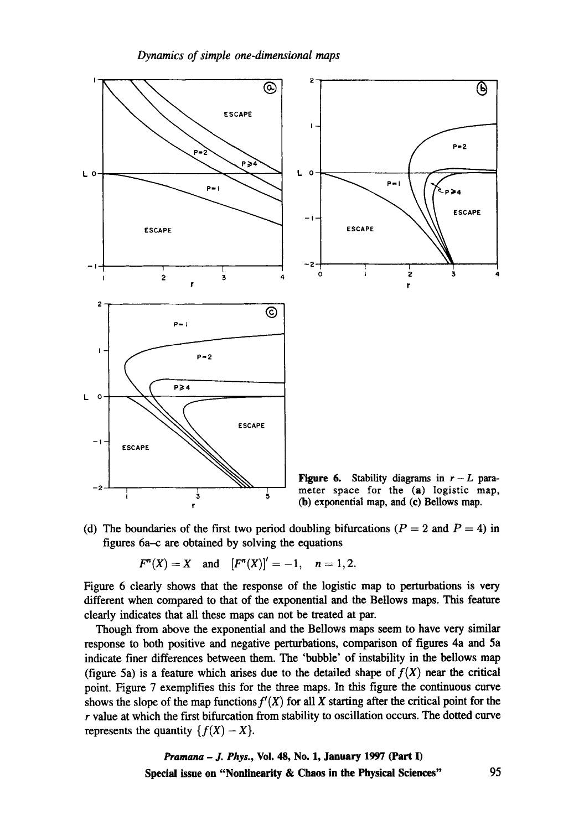

(d) The boundaries of the first two period doubling bifurcations ( $P = 2$  and  $P = 4$ ) in **figures 6a-c are obtained by solving the equations** 

 $F^{n}(X) = X$  and  $[F^{n}(X)]' = -1, n = 1, 2.$ 

**Figure 6 clearly shows that the response of the logistic map to perturbations is very different when compared to that of the exponential and the Bellows maps. This feature clearly indicates that all these maps can not be treated at par.** 

**Though from above the exponential and the Bellows maps seem to have very similar response to both positive and negative perturbations, comparison of figures 4a and 5a indicate finer differences between them. The 'bubble' of instability in the bellows map**  (figure 5a) is a feature which arises due to the detailed shape of  $f(X)$  near the critical **point. Figure 7 exemplifies this for the three maps. In this figure the continuous curve**  shows the slope of the map functions  $f'(X)$  for all X starting after the critical point for the **r value at which the first bifurcation from stability to oscillation occurs. The dotted curve**  represents the quantity  $\{f(X) - X\}$ .

> *Pramana - J. Phys.,* **Vol. 48, No. 1, January 1997 (Part I) Special issue on "Nonlinearity & Chaos in the Physical Sciences"** 95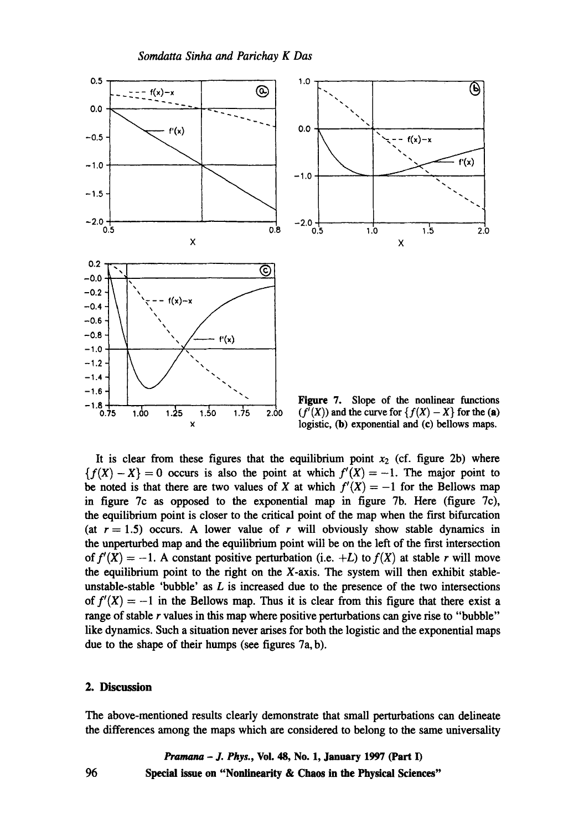



Figure 7. Slope of the nonlinear functions  $(f'(X))$  and the curve for  $\{f(X) - X\}$  for the (a) logistic, (b) exponential and (c) bellows maps.

It is clear from these figures that the equilibrium point  $x_2$  (cf. figure 2b) where  ${f(X)-X} = 0$  occurs is also the point at which  $f'(X) = -1$ . The major point to be noted is that there are two values of X at which  $f'(X) = -1$  for the Bellows map in figure 7c as opposed to the exponential map in figure 7b. Here (figure 7c), the equilibrium point is closer to the critical point of the map when the first bifurcation (at  $r = 1.5$ ) occurs. A lower value of r will obviously show stable dynamics in the unperturbed map and the equilibrium point will be on the left of the first intersection *of*  $f'(X) = -1$ . A constant positive perturbation (i.e. +L) to  $f(X)$  at stable r will move the equilibrium point to the right on the X-axis. The system will then exhibit stableunstable-stable 'bubble' as  $L$  is increased due to the presence of the two intersections of  $f'(X) = -1$  in the Bellows map. Thus it is clear from this figure that there exist a range of stable r values in this map where positive perturbations can give rise to "bubble" like dynamics. Such a situation never arises for both the logistic and the exponential maps due to the shape of their humps (see figures 7a, b).

### **2. Discussion**

**The above-mentioned results clearly demonstrate that small perturbations can delineate the differences among the maps which are considered to belong to the same universality** 

*Pramana - J. Phys.,* **Vol. 48, No. 1, January 1997 (Part I) 96 Special issue on "Nonlinearity & Chaos in the Physical Sciences"**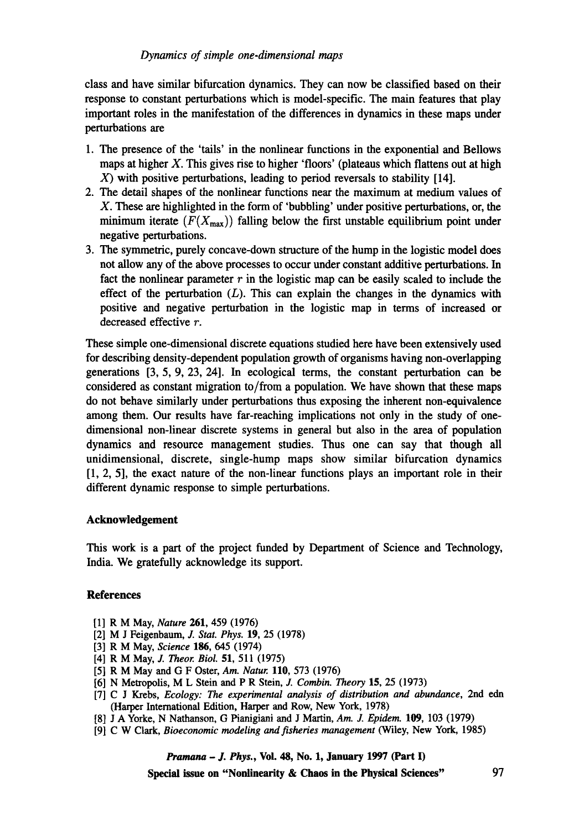# *Dynamics of simple one-dimensional maps*

class and have similar bifurcation dynamics. They can now be classified based on their response to constant perturbations which is model-specific. The main features that play important roles in the manifestation of the differences in dynamics in these maps under perturbations are

- 1. The presence of the 'tails' in the nonlinear functions in the exponential and Bellows maps at higher  $X$ . This gives rise to higher 'floors' (plateaus which flattens out at high  $X$ ) with positive perturbations, leading to period reversals to stability [14].
- 2. The detail shapes of the nonlinear functions near the maximum at medium values of X. These are highlighted in the form of 'bubbling' under positive perturbations, or, the minimum iterate  $(F(X_{max}))$  falling below the first unstable equilibrium point under negative perturbations.
- 3. The symmetric, purely concave-down structure of the hump in the logistic model does not allow any of the above processes to occur under constant additive perturbations. In fact the nonlinear parameter  $r$  in the logistic map can be easily scaled to include the effect of the perturbation  $(L)$ . This can explain the changes in the dynamics with positive and negative perturbation in the logistic map in terms of increased or decreased effective r.

These simple one-dimensional discrete equations studied here have been extensively used for describing density-dependent population growth of organisms having non-overlapping generations [3, 5, 9, 23, 24]. In ecological terms, the constant perturbation can be considered as constant migration to/from a population. We have shown that these maps do not behave similarly under perturbations thus exposing the inherent non-equivalence among them. Our results have far-reaching implications not only in the study of onedimensional non-linear discrete systems in general but also in the area of population dynamics and resource management studies. Thus one can say that though all unidimensional, discrete, single-hump maps show similar bifurcation dynamics [1, 2, 5], the exact nature of the non-linear functions plays an important role in their different dynamic response to simple perturbations.

## **Acknowledgement**

This work is a part of the project funded by Department of Science and Technology, India. We gratefully acknowledge its support.

# **References**

- [1] R M May, *Nature* 261, 459 (1976)
- [2] M J Feigenbaum, J. *Star. Phys.* 19, 25 (1978)
- [3] R M May, *Science* 186, 645 (1974)
- [4] R M May, J. *Theor. Biol.* 51, 511 (1975)
- [5] R M May and G FOster, *Am. Natur.* 110, 573 (1976)
- [6] N Metropolis, M L Stein and P R Stein, J. *Combin. Theory* 15, 25 (1973)
- [7] C J Krebs, *Ecology: The experimental analysis of distribution and abundance,* 2nd edn (Harper International Edition, Harper and Row, New York, 1978)
- [8] J A Yorke, N Nathanson, G Pianigiani and J Martin, *Am. J. Epidem.* 109, 103 (1979)
- [9] C W Clark, *Bioeconomic modeling and fisheries management* (Wiley, New York, 1985)

*Pramana - J. Phys.,* **Vol. 48, No. 1, January 1997 (Part I)** 

**Special issue on "Nonlinearity & Chaos in the Physical Sciences"** 97